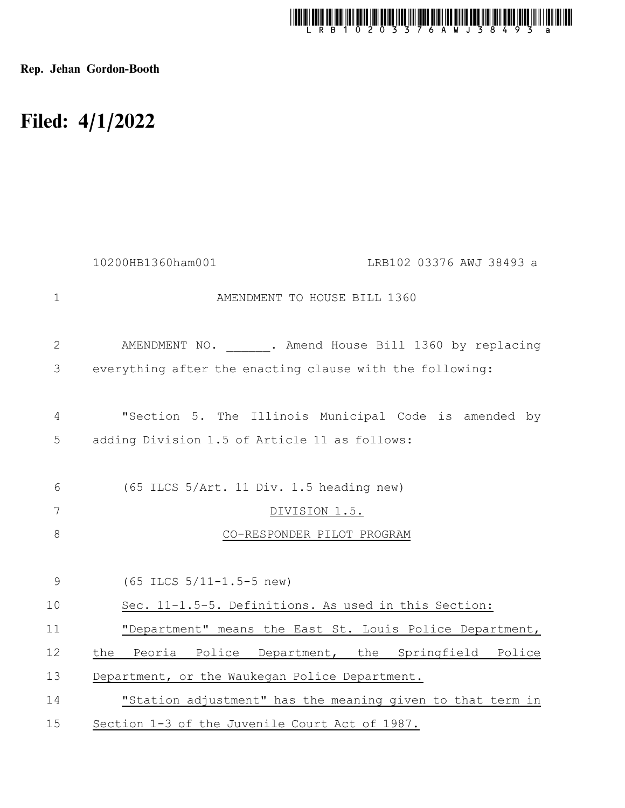

Rep. Jehan Gordon-Booth

## Filed: 4/1/2022

|                | 10200HB1360ham001<br>LRB102 03376 AWJ 38493 a              |
|----------------|------------------------------------------------------------|
| $\mathbf{1}$   | AMENDMENT TO HOUSE BILL 1360                               |
| $\mathbf{2}$   | AMENDMENT NO. . Amend House Bill 1360 by replacing         |
| 3              | everything after the enacting clause with the following:   |
| 4              | "Section 5. The Illinois Municipal Code is amended by      |
| 5              | adding Division 1.5 of Article 11 as follows:              |
| 6              | (65 ILCS 5/Art. 11 Div. 1.5 heading new)                   |
| $7\phantom{.}$ | DIVISION 1.5.                                              |
| $8\,$          | CO-RESPONDER PILOT PROGRAM                                 |
| $\mathsf 9$    | $(65$ ILCS $5/11-1.5-5$ new)                               |
| 10             | Sec. 11-1.5-5. Definitions. As used in this Section:       |
| 11             | "Department" means the East St. Louis Police Department,   |
| 12             | Peoria Police Department, the Springfield Police<br>the    |
| 13             | Department, or the Waukegan Police Department.             |
| 14             | "Station adjustment" has the meaning given to that term in |
| 15             | Section 1-3 of the Juvenile Court Act of 1987.             |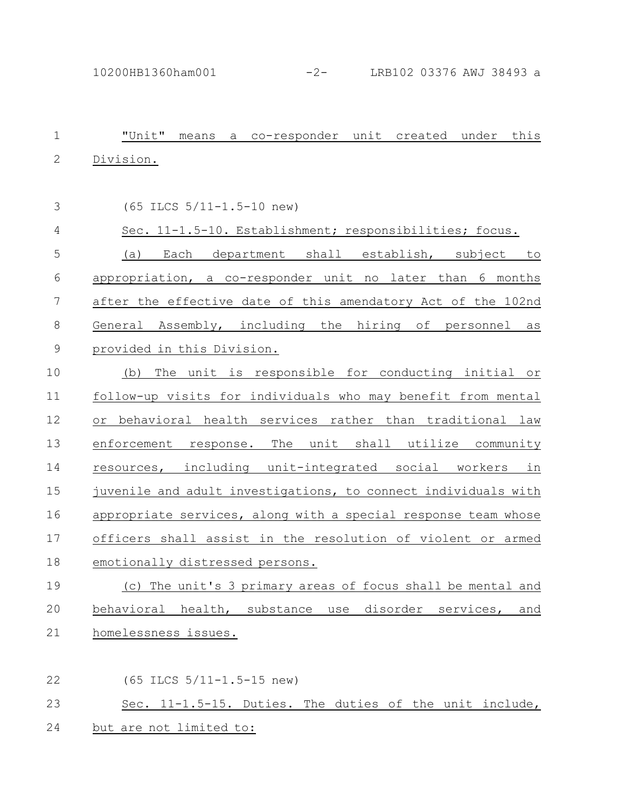| $\mathbf 1$ | "Unit" means<br>a co-responder unit created under this                    |
|-------------|---------------------------------------------------------------------------|
| $\mathbf 2$ | Division.                                                                 |
|             |                                                                           |
| 3           | (65 ILCS 5/11-1.5-10 new)                                                 |
| 4           | Sec. 11-1.5-10. Establishment; responsibilities; focus.                   |
| 5           | (a) Each department shall establish, subject to                           |
| 6           | appropriation, a co-responder unit no later than 6 months                 |
| 7           | after the effective date of this amendatory Act of the 102nd              |
| 8           | General Assembly, including the hiring of personnel<br>as                 |
| $\mathsf 9$ | provided in this Division.                                                |
| 10          | The unit is responsible for conducting initial or<br>(b)                  |
| 11          | follow-up visits for individuals who may benefit from mental              |
| 12          | or behavioral health services rather than traditional law                 |
| 13          | enforcement response. The unit shall utilize community                    |
| 14          | resources, including unit-integrated social workers in                    |
| 15          | juvenile and adult investigations, to connect individuals with            |
| 16          | appropriate services, along with a special response team whose            |
| 17          | officers shall assist in the resolution of violent or armed               |
| 18          | emotionally distressed persons.                                           |
| 19          | (c) The unit's 3 primary areas of focus shall be mental and               |
| 20          | behavioral<br>health,<br>substance<br>disorder<br>services,<br>use<br>and |
| 21          | homelessness issues.                                                      |
|             |                                                                           |

(65 ILCS 5/11-1.5-15 new) Sec. 11-1.5-15. Duties. The duties of the unit include, 22 23

## 24 but are not limited to: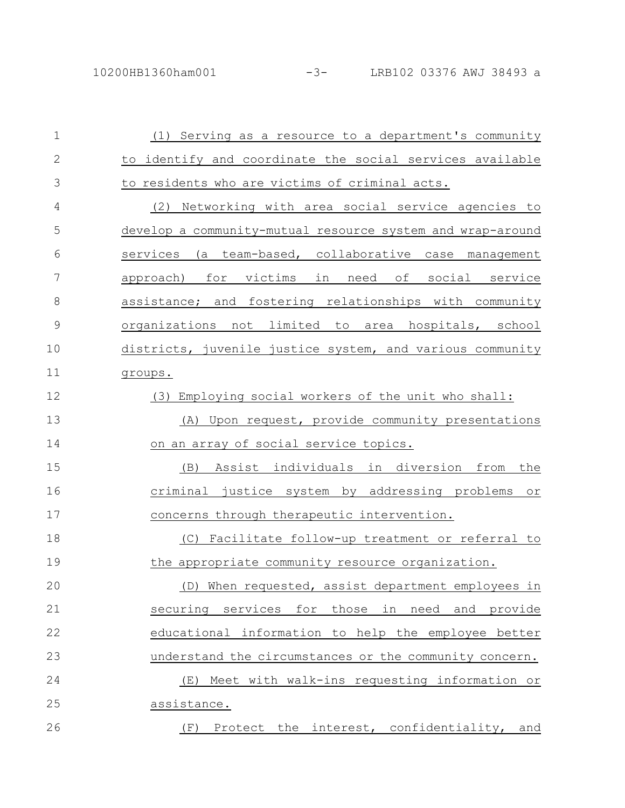| $\mathbf 1$   | (1) Serving as a resource to a department's community      |
|---------------|------------------------------------------------------------|
| $\mathbf{2}$  | to identify and coordinate the social services available   |
| 3             | to residents who are victims of criminal acts.             |
| 4             | (2) Networking with area social service agencies to        |
| 5             | develop a community-mutual resource system and wrap-around |
| 6             | services (a team-based, collaborative case management      |
| 7             | approach) for victims in need of social service            |
| 8             | assistance; and fostering relationships with community     |
| $\mathcal{G}$ | organizations not limited to area hospitals, school        |
| 10            | districts, juvenile justice system, and various community  |
| 11            | groups.                                                    |
| 12            | (3) Employing social workers of the unit who shall:        |
| 13            | Upon request, provide community presentations<br>(A)       |
| 14            | on an array of social service topics.                      |
| 15            | Assist individuals in diversion from the<br>(B)            |
| 16            | criminal justice system by addressing problems<br>or       |
| 17            | concerns through therapeutic intervention.                 |
| 18            | Facilitate follow-up treatment or referral to<br>(C)       |
| 19            | the appropriate community resource organization.           |
| 20            | When requested, assist department employees in<br>(D)      |
| 21            | securing services<br>for<br>those in need and provide      |
| 22            | educational information to help the employee better        |
| 23            | understand the circumstances or the community concern.     |
| 24            | Meet with walk-ins requesting information or<br>(E)        |
| 25            | assistance.                                                |
| 26            | Protect the interest, confidentiality, and<br>(F)          |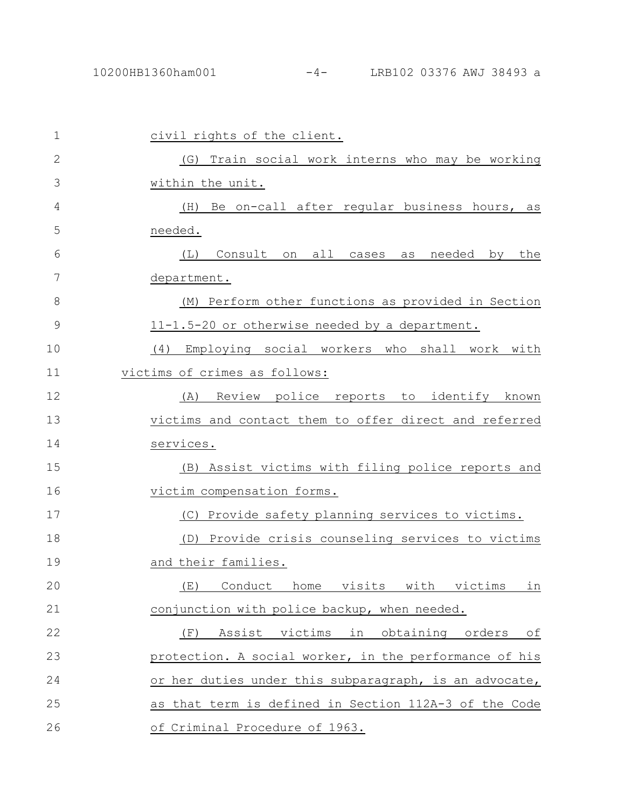| 1            | civil rights of the client.                              |
|--------------|----------------------------------------------------------|
| $\mathbf{2}$ | (G) Train social work interns who may be working         |
| 3            | within the unit.                                         |
| 4            | Be on-call after regular business hours, as<br>(H)       |
| 5            | needed.                                                  |
| 6            | Consult on all cases as<br>(L)<br>needed by the          |
| 7            | department.                                              |
| 8            | (M) Perform other functions as provided in Section       |
| 9            | 11-1.5-20 or otherwise needed by a department.           |
| 10           | Employing social workers who shall work with<br>(4)      |
| 11           | victims of crimes as follows:                            |
| 12           | Review police reports to identify known<br>(A)           |
| 13           | victims and contact them to offer direct and referred    |
| 14           | services.                                                |
| 15           | (B) Assist victims with filing police reports and        |
| 16           | victim compensation forms.                               |
| 17           | (C) Provide safety planning services to victims.         |
| 18           | (D) Provide crisis counseling services to victims        |
| 19           | and their families.                                      |
| 20           | (E) Conduct home visits with victims in                  |
| 21           | conjunction with police backup, when needed.             |
|              |                                                          |
| 22           | Assist<br>victims<br>in obtaining<br>(F)<br>orders<br>оf |
| 23           | protection. A social worker, in the performance of his   |
| 24           | or her duties under this subparagraph, is an advocate,   |
| 25           | as that term is defined in Section 112A-3 of the Code    |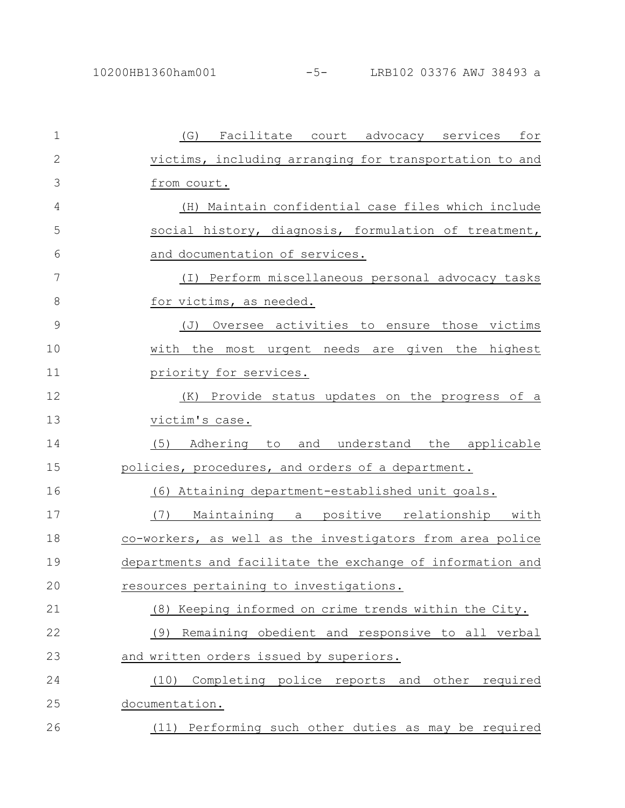| $\mathbf{1}$ | Facilitate court advocacy services<br>for<br>(G)              |
|--------------|---------------------------------------------------------------|
| $\mathbf{2}$ | victims, including arranging for transportation to and        |
| 3            | from court.                                                   |
| 4            | (H) Maintain confidential case files which include            |
| 5            | social history, diagnosis, formulation of treatment,          |
| 6            | and documentation of services.                                |
| 7            | (I) Perform miscellaneous personal advocacy tasks             |
| 8            | for victims, as needed.                                       |
| 9            | Oversee activities to ensure those victims<br>$(\mathcal{J})$ |
| 10           | with the most urgent needs are given the highest              |
| 11           | priority for services.                                        |
| 12           | Provide status updates on the progress of a<br>(K)            |
| 13           | victim's case.                                                |
| 14           | (5)<br>Adhering to<br>and understand the applicable           |
| 15           | policies, procedures, and orders of a department.             |
| 16           | (6) Attaining department-established unit goals.              |
| 17           | Maintaining a positive relationship with<br>(7)               |
| 18           | co-workers, as well as the investigators from area police     |
| 19           | departments and facilitate the exchange of information and    |
| 20           | resources pertaining to investigations.                       |
| 21           | (8) Keeping informed on crime trends within the City.         |
| 22           | Remaining obedient and responsive to all verbal<br>(9)        |
| 23           | and written orders issued by superiors.                       |
| 24           | Completing police reports and other required<br>(10)          |
| 25           | documentation.                                                |
| 26           | (11) Performing such other duties as may be required          |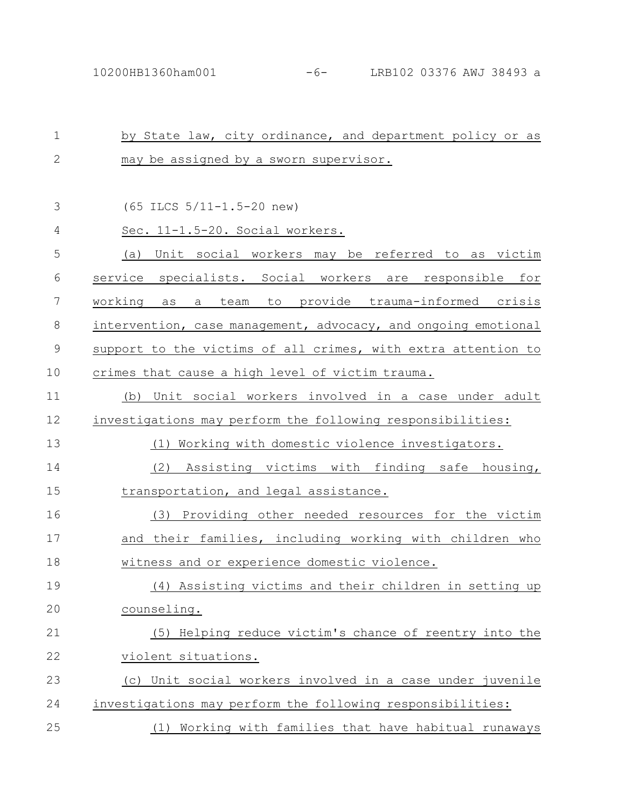| $\mathbf 1$ | by State law, city ordinance, and department policy or as      |
|-------------|----------------------------------------------------------------|
| $\mathbf 2$ | may be assigned by a sworn supervisor.                         |
|             |                                                                |
| 3           | $(65$ ILCS $5/11-1.5-20$ new)                                  |
| 4           | Sec. 11-1.5-20. Social workers.                                |
| 5           | (a) Unit social workers may be referred to as victim           |
| 6           | service specialists. Social workers are responsible for        |
| 7           | as a team to provide trauma-informed crisis<br>working         |
| 8           | intervention, case management, advocacy, and ongoing emotional |
| $\mathsf 9$ | support to the victims of all crimes, with extra attention to  |
| 10          | crimes that cause a high level of victim trauma.               |
| 11          | (b) Unit social workers involved in a case under adult         |
| 12          | investigations may perform the following responsibilities:     |
| 13          | (1) Working with domestic violence investigators.              |
| 14          | Assisting victims with finding safe housing,<br>(2)            |
| 15          | transportation, and legal assistance.                          |
| 16          | (3) Providing other needed resources for the victim            |
| 17          | and their families, including working with children who        |
| 18          | witness and or experience domestic violence.                   |
| 19          | (4)<br>Assisting victims and their children in setting up      |
| 20          | counseling.                                                    |
| 21          | (5) Helping reduce victim's chance of reentry into the         |
| 22          | violent situations.                                            |
| 23          | (c) Unit social workers involved in a case under juvenile      |
| 24          | investigations may perform the following responsibilities:     |
| 25          | (1) Working with families that have habitual runaways          |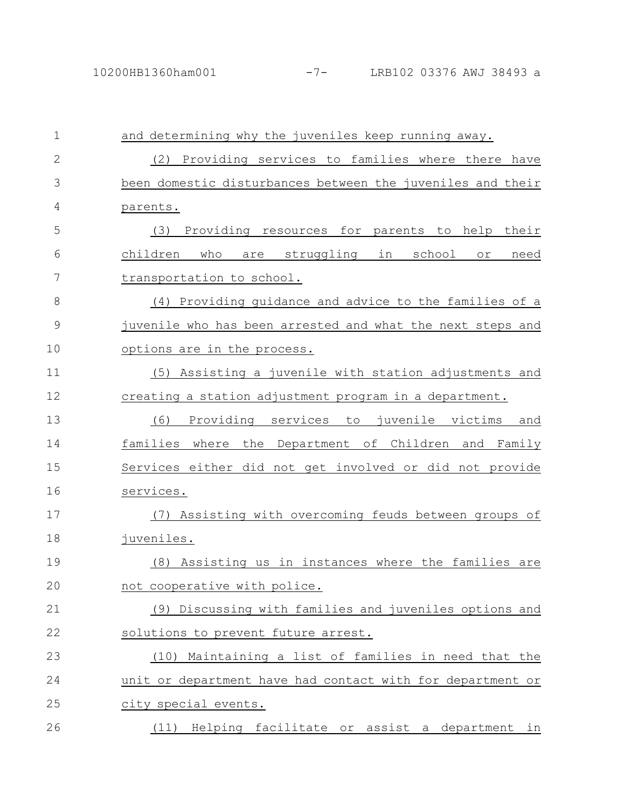| $\mathbf 1$  | and determining why the juveniles keep running away.       |
|--------------|------------------------------------------------------------|
| $\mathbf{2}$ | (2) Providing services to families where there have        |
| 3            | been domestic disturbances between the juveniles and their |
| 4            | parents.                                                   |
| 5            | Providing resources for parents to help their<br>(3)       |
| 6            | children who<br>are struggling in school<br>need<br>or     |
| 7            | transportation to school.                                  |
| 8            | (4) Providing quidance and advice to the families of a     |
| 9            | juvenile who has been arrested and what the next steps and |
| 10           | options are in the process.                                |
| 11           | (5) Assisting a juvenile with station adjustments and      |
| 12           | creating a station adjustment program in a department.     |
| 13           | Providing services<br>to juvenile victims<br>(6)<br>and    |
| 14           | families where the Department of Children and Family       |
| 15           | Services either did not get involved or did not provide    |
| 16           | services.                                                  |
| 17           | Assisting with overcoming feuds between groups of<br>(7)   |
| 18           | juveniles.                                                 |
| 19           | Assisting us in instances where the families are<br>(8)    |
| 20           | not cooperative with police.                               |
| 21           | (9) Discussing with families and juveniles options and     |
| 22           | solutions to prevent future arrest.                        |
| 23           | (10) Maintaining a list of families in need that the       |
| 24           | unit or department have had contact with for department or |
| 25           | city special events.                                       |
| 26           | (11) Helping facilitate or assist a department in          |